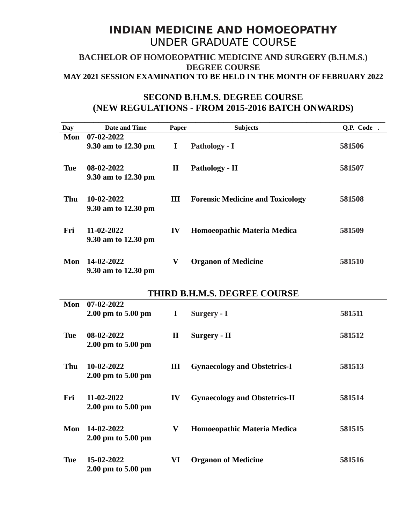## **INDIAN MEDICINE AND HOMOEOPATHY** UNDER GRADUATE COURSE

## **BACHELOR OF HOMOEOPATHIC MEDICINE AND SURGERY (B.H.M.S.) DEGREE COURSE MAY 2021 SESSION EXAMINATION TO BE HELD IN THE MONTH OF FEBRUARY 2022**

## **SECOND B.H.M.S. DEGREE COURSE (NEW REGULATIONS - FROM 2015-2016 BATCH ONWARDS)**

| <b>Day</b>                   | <b>Date and Time</b> | Paper        | <b>Subjects</b>                         | Q.P. Code. |  |  |  |
|------------------------------|----------------------|--------------|-----------------------------------------|------------|--|--|--|
| Mon                          | 07-02-2022           |              |                                         |            |  |  |  |
|                              | 9.30 am to 12.30 pm  | $\bf{I}$     | Pathology - I                           | 581506     |  |  |  |
|                              |                      |              |                                         |            |  |  |  |
| <b>Tue</b>                   | 08-02-2022           | $\mathbf{I}$ | Pathology - II                          | 581507     |  |  |  |
|                              | 9.30 am to 12.30 pm  |              |                                         |            |  |  |  |
|                              |                      |              |                                         |            |  |  |  |
| Thu                          | 10-02-2022           | Ш            | <b>Forensic Medicine and Toxicology</b> | 581508     |  |  |  |
|                              | 9.30 am to 12.30 pm  |              |                                         |            |  |  |  |
|                              |                      |              |                                         |            |  |  |  |
| Fri                          | 11-02-2022           | IV           | Homoeopathic Materia Medica             | 581509     |  |  |  |
|                              | 9.30 am to 12.30 pm  |              |                                         |            |  |  |  |
|                              |                      |              |                                         |            |  |  |  |
|                              |                      |              |                                         |            |  |  |  |
| Mon                          | 14-02-2022           | V            | <b>Organon of Medicine</b>              | 581510     |  |  |  |
|                              | 9.30 am to 12.30 pm  |              |                                         |            |  |  |  |
|                              |                      |              |                                         |            |  |  |  |
| THIRD B.H.M.S. DEGREE COURSE |                      |              |                                         |            |  |  |  |
| Mon                          | 07-02-2022           |              |                                         |            |  |  |  |
|                              | 2.00 pm to 5.00 pm   | $\bf{I}$     | Surgery - I                             | 581511     |  |  |  |
|                              |                      |              |                                         |            |  |  |  |
| <b>Tue</b>                   | 08-02-2022           | $\mathbf{I}$ | Surgery - II                            | 581512     |  |  |  |
|                              | 2.00 pm to 5.00 pm   |              |                                         |            |  |  |  |
|                              |                      |              |                                         |            |  |  |  |
| <b>Thu</b>                   | 10-02-2022           | III          | <b>Gynaecology and Obstetrics-I</b>     | 581513     |  |  |  |
|                              | 2.00 pm to 5.00 pm   |              |                                         |            |  |  |  |
|                              |                      |              |                                         |            |  |  |  |
| Fri                          | 11-02-2022           | IV           | <b>Gynaecology and Obstetrics-II</b>    | 581514     |  |  |  |
|                              | 2.00 pm to 5.00 pm   |              |                                         |            |  |  |  |
|                              |                      |              |                                         |            |  |  |  |
| Mon                          | 14-02-2022           | V            | Homoeopathic Materia Medica             | 581515     |  |  |  |
|                              | 2.00 pm to 5.00 pm   |              |                                         |            |  |  |  |
|                              |                      |              |                                         |            |  |  |  |
| <b>Tue</b>                   | 15-02-2022           | VI           | <b>Organon of Medicine</b>              | 581516     |  |  |  |
|                              | 2.00 pm to 5.00 pm   |              |                                         |            |  |  |  |